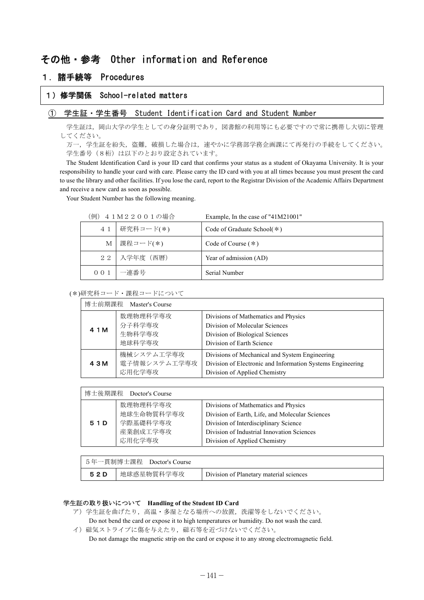# その他・参考 Other information and Reference

# 1. 諸手続等 Procedures

# 1) 修学関係 School-related matters

### ① 学生証 · 学生番号 Student Identification Card and Student Number

学生証は、岡山大学の学生としての身分証明であり、図書館の利用等にも必要ですので常に携帯し大切に管理 。してください

万一、学生証を紛失、盗難、破損した場合は、速やかに学務部学務企画課にて再発行の手続をしてください。 学生番号 (8桁)は以下のとおり設定されています。

The Student Identification Card is your ID card that confirms your status as a student of Okayama University. It is your responsibility to handle your card with care. Please carry the ID card with you at all times because you must present the card to use the library and other facilities. If you lose the card, report to the Registrar Division of the Academic Affairs Department and receive a new card as soon as possible.

Your Student Number has the following meaning.

| 41M22001の場合<br>例) |                | Example, In the case of "41M21001" |
|-------------------|----------------|------------------------------------|
| 4 1               | 研究科コード(*)      | Code of Graduate School( $*$ )     |
| М                 | ┃課程コード(*)      | Code of Course $(*)$               |
|                   | 22   入学年度 (西暦) | Year of admission (AD)             |
| 0 0 1             | 一連番号           | Serial Number                      |

(\*)研究科コード・課程コードについて

| 博士前期課程<br>Master's Course |                                        |                                                                                                                                               |  |
|---------------------------|----------------------------------------|-----------------------------------------------------------------------------------------------------------------------------------------------|--|
| 4 1 M                     | 数理物理科学専攻<br>分子科学専攻<br>生物科学専攻<br>地球科学専攻 | Divisions of Mathematics and Physics<br>Division of Molecular Sciences<br>Division of Biological Sciences<br>Division of Earth Science        |  |
| 4 3 M                     | 機械システム工学専攻<br>電子情報システム工学専攻<br>応用化学専攻   | Divisions of Mechanical and System Engineering<br>Division of Electronic and Information Systems Engineering<br>Division of Applied Chemistry |  |

| 博士後期課程<br>Doctor's Course |                                                          |                                                                                                                                                                                                                 |  |  |
|---------------------------|----------------------------------------------------------|-----------------------------------------------------------------------------------------------------------------------------------------------------------------------------------------------------------------|--|--|
| 51D                       | 数理物理科学専攻<br>地球生命物質科学専攻<br>学際基礎科学専攻<br>産業創成工学専攻<br>応用化学専攻 | Divisions of Mathematics and Physics<br>Division of Earth, Life, and Molecular Sciences<br>Division of Interdisciplinary Science<br>Division of Industrial Innovation Sciences<br>Division of Applied Chemistry |  |  |

|     | 5年一貫制博士課程 Doctor's Course |                                         |
|-----|---------------------------|-----------------------------------------|
| 52D | 地球惑星物質科学専攻                | Division of Planetary material sciences |

## 学生証の取り扱いについて Handling of the Student ID Card

- ア)学生証を曲げたり、高温·多湿となる場所への放置、洗濯等をしないでください。 Do not bend the card or expose it to high temperatures or humidity. Do not wash the card.
- イ)磁気ストライプに傷を与えたり、磁石等を近づけないでください。

Do not damage the magnetic strip on the card or expose it to any strong electromagnetic field.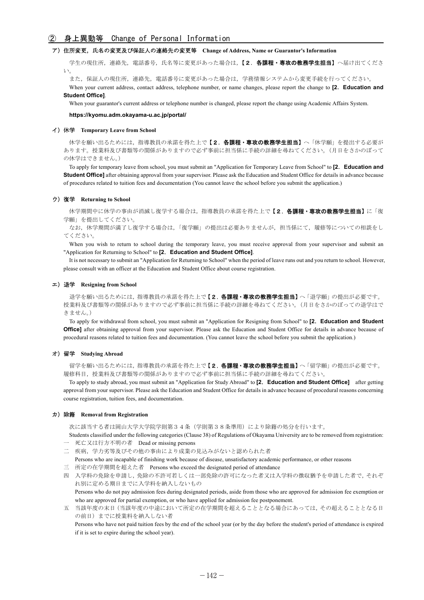### ② 身上異動等 Change of Personal Information

### ア) 住所変更, 氏名の変更及び保証人の連絡先の変更等 Change of Address, Name or Guarantor's Information

学生の現住所,連絡先,電話番号,氏名等に変更があった場合は,【2.各課程·専攻の教務学生担当】へ届け出てくださ い

また、保証人の現住所、連絡先、電話番号に変更があった場合は、学務情報システムから変更手続を行ってください。

When your current address, contact address, telephone number, or name changes, please report the change to [2. Education and **Student Officel.** 

When your guarantor's current address or telephone number is changed, please report the change using Academic Affairs System.

#### https://kyomu.adm.okayama-u.ac.jp/portal/

#### **イ) 休学 Temporary Leave from School**

休学を願い出るためには、指導教員の承諾を得た上で【2. 各課程·専攻の教務学生担当】へ「休学願」を提出する必要が あります。授業料及び書類等の関係がありますので必ず事前に担当係に手続の詳細を尋ねてください。(月日をさかのぼって の休学はできません。)

To apply for temporary leave from school, you must submit an "Application for Temporary Leave from School" to [2. Education and **Student Office]** after obtaining approval from your supervisor. Please ask the Education and Student Office for details in advance because of procedures related to tuition fees and documentation (You cannot leave the school before you submit the application.)

#### **ウ) 復学 Returning to School**

休学期間中に休学の事由が消滅し復学する場合は,指導教員の承諾を得た上で【2. 各課程・専攻の教務学生担当】に「復 学願」を提出してください。

なお、休学期間が満了し復学する場合は、「復学願」の提出は必要ありませんが、担当係にて、履修等についての相談をし 。てください

When you wish to return to school during the temporary leave, you must receive approval from your supervisor and submit an "Application for Returning to School" to [2. Education and Student Office].

It is not necessary to submit an "Application for Returning to School" when the period of leave runs out and you return to school. However, please consult with an officer at the Education and Student Office about course registration.

#### エ) 退学 Resigning from School

退学を願い出るためには、指導教員の承諾を得た上で【2.各課程·専攻の教務学生担当】へ「退学願」の提出が必要です。 授業料及び書類等の関係がありますので必ず事前に担当係に手続の詳細を尋ねてください。(月日をさかのぼっての退学はで (。きません

To apply for withdrawal from school, you must submit an "Application for Resigning from School" to [2. Education and Student **Office]** after obtaining approval from your supervisor. Please ask the Education and Student Office for details in advance because of procedural reasons related to tuition fees and documentation. (You cannot leave the school before you submit the application.)

#### オ) 留学 Studying Abroad

留学を願い出るためには、指導教員の承諾を得た上で【2.各課程·専攻の教務学生担当】へ「留学願」の提出が必要です。 履修科目、授業料及び書類等の関係がありますので必ず事前に担当係に手続の詳細を尋ねてください。

To apply to study abroad, you must submit an "Application for Study Abroad" to [2. Education and Student Office] after getting approval from your supervisor. Please ask the Education and Student Office for details in advance because of procedural reasons concerning course registration, tuition fees, and documentation.

#### カ) 除籍 Removal from Registration

次に該当する者は岡山大学大学院学則第34条(学則第38条準用)により除籍の処分を行います。

- Students classified under the following categories (Clause 38) of Regulations of Okayama University are to be removed from registration: - 死亡又は行方不明の者 Dead or missing persons
- 二 疾病, 学力劣等及びその他の事由により成業の見込みがないと認められた者
- Persons who are incapable of finishing work because of disease, unsatisfactory academic performance, or other reasons
- 三 所定の在学期間を超えた者 Persons who exceed the designated period of attendance

四 入学料の免除を申請し,免除の不許可若しくは一部免除の許可になった者又は入学料の徴収猶予を申請した者で,それぞ れ別に定める期日までに入学料を納入しないもの

Persons who do not pay admission fees during designated periods, aside from those who are approved for admission fee exemption or who are approved for partial exemption, or who have applied for admission fee postponement.

五 当該年度の末日(当該年度の中途において所定の在学期間を超えることとなる場合にあっては、その超えることとなる日 の前日)までに授業料を納入しない者

Persons who have not paid tuition fees by the end of the school year (or by the day before the student's period of attendance is expired if it is set to expire during the school year).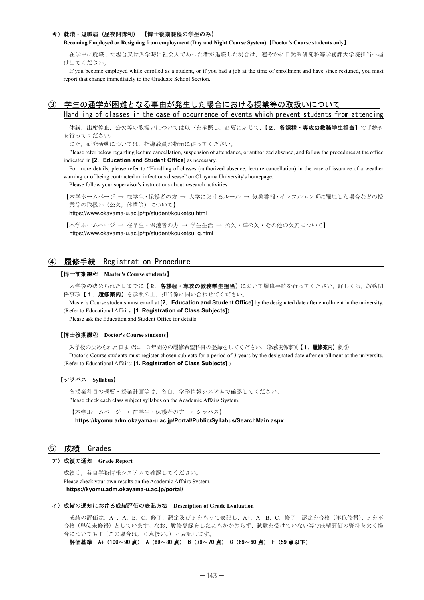#### キ) 就職・退職届 (昼夜開講制) 【博士後期課程の学生のみ】

**Becoming Employed or Resigning from employment (Day and Night Course System) [Doctor's Course students only]** 

在学中に就職した場合又は入学時に社会人であった者が退職した場合は、速やかに自然系研究科等学務課大学院担当へ届 。け出てください

If you become employed while enrolled as a student, or if you had a job at the time of enrollment and have since resigned, you must report that change immediately to the Graduate School Section.

# 学生の通学が困難となる事由が発生した場合における授業等の取扱いについて Handling of classes in the case of occurrence of events which prevent students from attending

休講,出席停止,公欠等の取扱いについては以下を参照し,必要に応じて,【2.各課程·専攻の教務学生担当】で手続き を行ってください。

また、研究活動については、指導教員の指示に従ってください。

Please refer below regarding lecture cancellation, suspension of attendance, or authorized absence, and follow the procedures at the office indicated in [2. Education and Student Office] as necessary.

For more details, please refer to "Handling of classes (authorized absence, lecture cancellation) in the case of issuance of a weather warning or of being contracted an infectious disease" on Okayama University's homepage.

Please follow your supervisor's instructions about research activities.

【本学ホームページ → 在学生・保護者の方 → 大学におけるルール → 気象警報・インフルエンザに罹患した場合などの授 業等の取扱い(公欠,休講等)について】

https://www.okayama-u.ac.jp/tp/student/kouketsu.html

【本学ホームページ → 在学生・保護者の方 → 学生生活 → 公欠・準公欠・その他の欠席について】 https://www.okayama-u.ac.jp/tp/student/kouketsu\_g.html

### (4) 履修手続 Registration Procedure

#### 【博士前期課程 Master's Course students】

入学後の決められた日までに【2. 各課程·専攻の教務学生担当】において履修手続を行ってください。詳しくは、教務関 係事項【1. 履修案内】を参照の上、担当係に問い合わせてください。

Master's Course students must enroll at **[2. Education and Student Office]** by the designated date after enrollment in the university. (Refer to Educational Affairs: [1. Registration of Class Subjects])

Please ask the Education and Student Office for details.

#### 【博士後期課程 Doctor's Course students】

入学後の決められた日までに, 3年間分の履修希望科目の登録をしてください。(教務関係事項【1. **履修案内**】参照) Doctor's Course students must register chosen subjects for a period of 3 years by the designated date after enrollment at the university. (Refer to Educational Affairs: [1. **Registration of Class Subjects**].)

#### 【**Syllabus** シラバス【

各授業科目の概要・授業計画等は、各自、学務情報システムで確認してください。 Please check each class subject syllabus on the Academic Affairs System.

【本学ホームページ → 在学生・保護者の方 → シラバス】

https://kyomu.adm.okayama-u.ac.jp/Portal/Public/Syllabus/SearchMain.aspx

#### Grades 成績 ⑤

#### ア) 成績の通知 Grade Report

成績は、各自学務情報システムで確認してください。 Please check your own results on the Academic Affairs System. https://kyomu.adm.okayama-u.ac.jp/portal/

#### イ) 成績の通知における成績評価の表記方法 Description of Grade Evaluation

成績の評価は, A+, A, B, C, 修了, 認定及びF をもって表記し, A+, A, B, C, 修了, 認定を合格 (単位修得), F を不 合格(単位未修得)としています。なお、履修登録をしたにもかかわらず、試験を受けていない等で成績評価の資料を欠く場 合についてもF (この場合は、0点扱い。)と表記します。

評価基準 A+ (100~90点), A (89~80点), B (79~70点), C (69~60点), F (59点以下)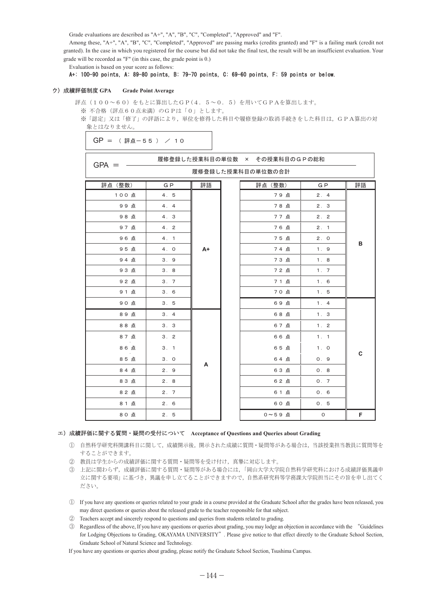Grade evaluations are described as "A+", "A", "B", "C", "Completed", "Approved" and "F".

Among these, "A+", "A", "B", "C", "Completed", "Approved" are passing marks (credits granted) and "F" is a failing mark (credit not granted). In the case in which you registered for the course but did not take the final test, the result will be an insufficient evaluation. Your grade will be recorded as "F" (in this case, the grade point is 0.)

Evaluation is based on your score as follows:

### A+: 100-90 points, A: 89-80 points, B: 79-70 points, C: 69-60 points, F: 59 points or below.

#### ウ) 成績評価制度 GPA Grade Point Average

 $\sim$   $\sim$   $\sim$ 

評点 (100~60) をもとに算出したGP(4.5~0.5) を用いてGPAを算出します。

※ 不合格 (評点60点未満) のGPは「0」とします。

※「認定」又は「修了」の評語により、単位を修得した科目や履修登録の取消手続きをした科目は、GPA算出の対 象とはなりません。

```
GP = (評点-55) / 10
```
履修登録した授業科目の単位数 × その授業科目のGPの総和

| $SPA =$<br>履修登録した授業科目の単位数の合計 |                |      |  |         |                |             |
|------------------------------|----------------|------|--|---------|----------------|-------------|
| 評点 (整数)                      | G <sub>P</sub> | 評語   |  | 評点 (整数) | G <sub>P</sub> | 評語          |
| 100点                         | 4.5            |      |  | 79点     | 2.4            |             |
| 99点                          | 4.4            |      |  | 78点     | 2.3            |             |
| 98点                          | 4. 3           |      |  | 77点     | 2.2            |             |
| 97点                          | 4.2            |      |  | 76点     | 2.1            |             |
| 96点                          | 4.1            |      |  | 75点     | 2.0            | в           |
| 95点                          | 4.0            | $A+$ |  | 74点     | 1.9            |             |
| 94点                          | 3.9            |      |  | 73点     | 1.8            |             |
| 93点                          | 3.8            |      |  | 72点     | 1.7            |             |
| 92点                          | 3.7            |      |  | 71点     | 1.6            |             |
| 91点                          | 3.6            |      |  | 70点     | 1.5            |             |
| 90点                          | 3.5            |      |  | 69点     | 1.4            |             |
| 89点                          | 3.4            |      |  | 68点     | 1.3            |             |
| 88点                          | 3.3            | A    |  | 67点     | 1.2            |             |
| 87点                          | 3.2            |      |  | 66点     | 1.1            |             |
| 86点                          | 3.1            |      |  | 65点     | 1.0            |             |
| 85点                          | 3.0            |      |  | 64点     | 0.9            | $\mathbf c$ |
| 84点                          | 2.9            |      |  | 63点     | 0.8            |             |
| 83点                          | 2.8            |      |  | 62点     | 0.7            |             |
| 82点                          | 2.7            |      |  | 61点     | 0.6            |             |
| 81点                          | 2.6            |      |  | 60点     | 0.5            |             |
| 80点                          | 2.5            |      |  | 0~59点   | $\mathsf O$    | F           |

#### エ) 成績評価に関する質問・疑問の受付について Acceptance of Questions and Queries about Grading

- ① 自然科学研究科開講科目に関して、成績開示後、開示された成績に質問·疑問等がある場合は、当該授業担当教員に質問等を することができます。
- ② 教員は学生からの成績評価に関する質問·疑問等を受け付け、真摯に対応します。
- ③ 上記に関わらず,成績評価に関する質問·疑問等がある場合には,「岡山大学大学院自然科学研究科における成績評価異議申 立に関する要項〕に基づき、異議を申し立てることができますので、自然系研究科等学務課大学院担当にその旨を申し出てく ださい。
- $\mathbb D$  If you have any questions or queries related to your grade in a course provided at the Graduate School after the grades have been released, you may direct questions or queries about the released grade to the teacher responsible for that subject.
- 2 Teachers accept and sincerely respond to questions and queries from students related to grading.
- <sup>3</sup> Regardless of the above, If you have any questions or queries about grading, you may lodge an objection in accordance with the "Guidelines" for Lodging Objections to Grading, OKAYAMA UNIVERSITY". Please give notice to that effect directly to the Graduate School Section, Graduate School of Natural Science and Technology.

If you have any questions or queries about grading, please notify the Graduate School Section, Tsushima Campus.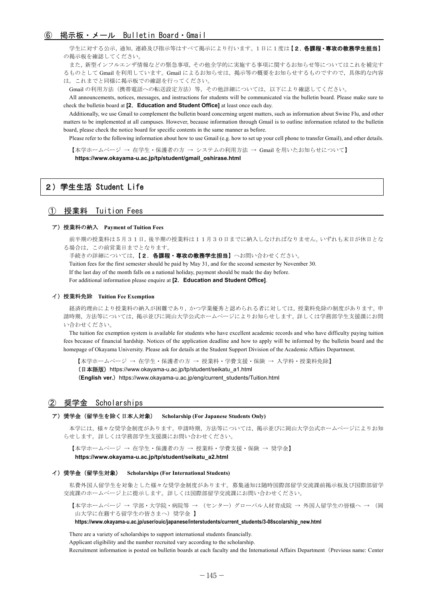学生に対する公示、通知、連絡及び指示等はすべて掲示により行います。1日に1度は【2.各課程·専攻の教務学生担当】 の掲示板を確認してください。

また、新型インフルエンザ情報などの緊急事項、その他全学的に実施する事項に関するお知らせ等についてはこれを補完す るものとして Gmail を利用しています。Gmail によるお知らせは、掲示等の概要をお知らせするものですので、具体的な内容 は、これまでと同様に掲示板での確認を行ってください。

Gmailの利用方法(携帯電話への転送設定方法)等,その他詳細については、以下により確認してください。

All announcements, notices, messages, and instructions for students will be communicated via the bulletin board. Please make sure to check the bulletin board at [2. Education and Student Office] at least once each day.

Additionally, we use Gmail to complement the bulletin board concerning urgent matters, such as information about Swine Flu, and other matters to be implemented at all campuses. However, because information through Gmail is to outline information related to the bulletin board, please check the notice board for specific contents in the same manner as before.

Please refer to the following information about how to use Gmail (e.g. how to set up your cell phone to transfer Gmail), and other details.

【本学ホームページ → 在学生・保護者の方 → システムの利用方法 → Gmail を用いたお知らせについて】 https://www.okayama-u.ac.jp/tp/student/gmail\_oshirase.html

# 2) 学生生活 Student Life

### Fees Tuition 授業料 ①

#### ア) 授業料の納入 Payment of Tuition Fees

前半期の授業料は5月31日、後半期の授業料は11月30日までに納入しなければなりません。いずれも末日が休日とな る場合は、この前営業日までとなります。

手続きの詳細については、【2. 各課程・専攻の教務学生担当】へお問い合わせください。 Tuition fees for the first semester should be paid by May 31, and for the second semester by November 30. If the last day of the month falls on a national holiday, payment should be made the day before. For additional information please enquire at **[2. Education and Student Office]**.

#### **イ) 授業料免除 Tuition Fee Exemption**

経済的理由により授業料の納入が困難であり、かつ学業優秀と認められる者に対しては、授業料免除の制度があります。申 請時期、方法等については、掲示並びに岡山大学公式ホームページによりお知らせします。詳しくは学務部学生支援課にお問 い合わせください。

The tuition fee exemption system is available for students who have excellent academic records and who have difficulty paying tuition fees because of financial hardship. Notices of the application deadline and how to apply will be informed by the bulletin board and the homepage of Okayama University. Please ask for details at the Student Support Division of the Academic Affairs Department.

【本学ホームページ → 在学生・保護者の方 → 授業料・学費支援・保険 → 入学料・授業料免除】 (日本語版) https://www.okayama-u.ac.jp/tp/student/seikatu a1.html

(English ver.) https://www.okayama-u.ac.jp/eng/current\_students/Tuition.html

# Scholarships 奨学金 ②

#### ア) 奨学金 (留学生を除く日本人対象) Scholarship (For Japanese Students Only)

本学には、様々な奨学金制度があります。申請時期、方法等については、掲示並びに岡山大学公式ホームページによりお知 らせします。詳しくは学務部学生支援課にお問い合わせください。

【本学ホームページ → 在学生・保護者の方 → 授業料・学費支援・保険 → 奨学金】 https://www.okayama-u.ac.jp/tp/student/seikatu\_a2.html

#### **イ) 奨学金 (留学生対象) Scholarships (For International Students)**

私費外国人留学生を対象とした様々な奨学金制度があります。募集通知は随時国際部留学交流課前掲示板及び国際部留学 交流課のホームページ上に提示します。詳しくは国際部留学交流課にお問い合わせください。

【本学ホームページ → 学部・大学院・病院等 → (センター) グローバル人材育成院 → 外国人留学生の皆様へ → (岡 山大学に在籍する留学生の皆さまへ) 奨学金】

#### https://www.okayama-u.ac.jp/user/ouic/japanese/interstudents/current students/3-08scolarship new.html

There are a variety of scholarships to support international students financially.

Applicant eligibility and the number recruited vary according to the scholarship.

Recruitment information is posted on bulletin boards at each faculty and the International Affairs Department (Previous name: Center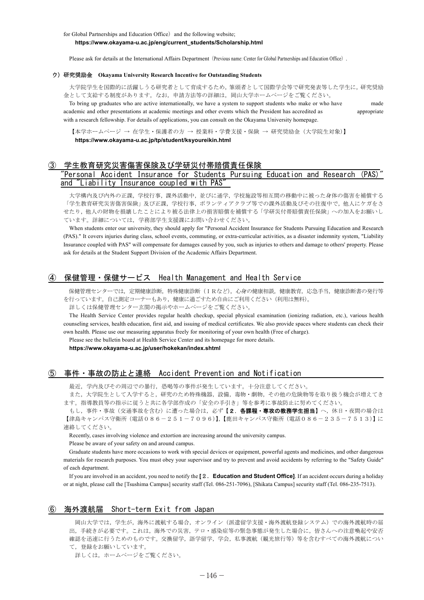Please ask for details at the International Affairs Department (Previous name: Center for Global Partnerships and Education Office).

#### ウ) 研究奨励金 Okayama University Research Incentive for Outstanding Students

大学院学生を国際的に活躍しうる研究者として育成するため、筆頭者として国際学会等で研究発表等した学生に、研究奨励 金として支給する制度があります。なお、申請方法等の詳細は、岡山大学ホームページをご覧ください。

To bring up graduates who are active internationally, we have a system to support students who make or who have made academic and other presentations at academic meetings and other events which the President has accredited as appropriate with a research fellowship. For details of applications, you can consult on the Okayama University homepage.

【本学ホームページ → 在学生・保護者の方 → 授業料・学費支援・保険 → 研究奨励金 (大学院生対象)】 https://www.okayama-u.ac.jp/tp/student/ksyoureikin.html

### 学生教育研究災害傷害保険及び学研災付帯賠償責任保険

### 'Personal Accident Insurance for Students Pursuing Education and Research (PAS) and "Liability Insurance coupled with PAS

大学構内及び内外の正課,学校行事,課外活動中,並びに通学,学校施設等相互間の移動中に被った身体の傷害を補償する 「学生教育研究災害傷害保険」及び正課、学校行事,ボランティアクラブ等での課外活動及びその往復中で、他人にケガをさ せたり、他人の財物を損壊したことにより被る法律上の損害賠償を補償する「学研災付帯賠償責任保険」への加入をお願いし ています。詳細については、学務部学生支援課にお問い合わせください。

When students enter our university, they should apply for "Personal Accident Insurance for Students Pursuing Education and Research (PAS)." It covers injuries during class, school events, commuting, or extra-curricular activities, as a disaster indemnity system, "Liability Insurance coupled with PAS" will compensate for damages caused by you, such as injuries to others and damage to others' property. Please ask for details at the Student Support Division of the Academic Affairs Department.

## ④ 保健管理・保健サービス Health Management and Health Service

保健管理センターでは、定期健康診断、特殊健康診断(IRなど),心身の健康相談,健康教育,応急手当,健康診断書の発行等 を行っています。自己測定コーナーもあり、健康に過ごすため自由にご利用ください(利用は無料)。

詳しくは保健管理センター玄関の掲示やホームページをご覧ください。

The Health Service Center provides regular health checkup, special physical examination (ionizing radiation, etc.), various health counseling services, health education, first aid, and issuing of medical certificates. We also provide spaces where students can check their own health. Please use our measuring apparatus freely for monitoring of your own health (Free of charge).

Please see the bulletin board at Health Service Center and its homepage for more details.

https://www.okayama-u.ac.ip/user/hokekan/index.shtml

# ⑤ 事件・事故の防止と連絡 Accident Prevention and Notification

最近、学内及びその周辺での暴行、恐喝等の事件が発生しています。十分注意してください。

また、大学院生として入学すると、研究のため特殊機器,設備、毒物·劇物、その他の危険物等を取り扱う機会が増えてき ます。指導教員等の指示に従うと共に各学部作成の「安全の手引き」等を参考に事故防止に努めてください。

もし、事件・事故(交通事故を含む)に遭った場合は、必ず【2.各課程·専攻の教務学生担当】へ、休日·夜間の場合は 【津島キャンパス守衛所(電話086-251-7096)】、【鹿田キャンパス守衛所(電話086-235-7513)】に 。連絡してください

Recently, cases involving violence and extortion are increasing around the university campus.

Please be aware of your safety on and around campus.

Graduate students have more occasions to work with special devices or equipment, powerful agents and medicines, and other dangerous materials for research purposes. You must obey your supervisor and try to prevent and avoid accidents by referring to the "Safety Guide" of each department.

If you are involved in an accident, you need to notify the  $[2.$  Education and Student Office. If an accident occurs during a holiday or at night, please call the [Tsushima Campus] security staff (Tel. 086-251-7096). [Shikata Campus] security staff (Tel. 086-235-7513).

### **6 海外渡航届 Short-term Exit from Japan**

岡山大学では、学生が、海外に渡航する場合、オンライン(派遣留学支援·海外渡航登録システム)での海外渡航時の届 出、手続きが必要です。これは、海外での災害、テロ·感染症等の緊急事態が発生した場合に、皆さんへの注意喚起や安否 確認を迅速に行うためのものです。交換留学,語学留学,学会,私事渡航(観光旅行等)等を含むすべての海外渡航につい て、登録をお願いしています。

詳しくは、ホームページをご覧ください。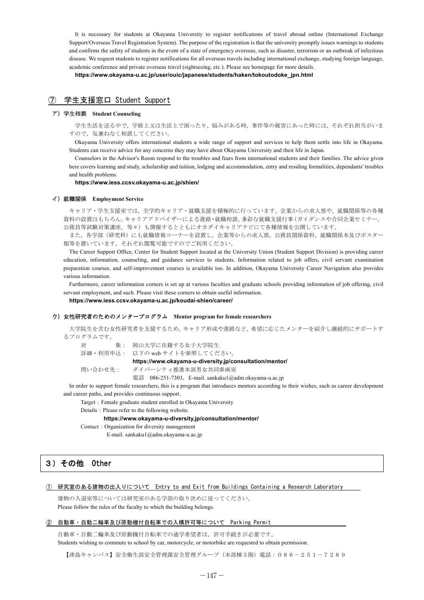It is necessary for students at Okayama University to register notifications of travel abroad online (International Exchange Support/Overseas Travel Registration System). The purpose of the registration is that the university promptly issues warnings to students and confirms the safety of students in the event of a state of emergency overseas, such as disaster, terrorism or an outbreak of infectious disease. We request students to register notifications for all overseas travels including international exchange, studying foreign language, academic conference and private overseas travel (sightseeing, etc.). Please see homepage for more details.

https://www.okayama-u.ac.jp/user/ouic/japanese/students/haken/tokoutodoke\_jpn.html

### Support Student 学生支援窓口 ⑦

### **Counseling Student** 学生相談)ア

学生生活を送る中で、学修上又は生活上で困ったり、悩みがある時、事件等の被害にあった時には、それぞれ担当がいま すので、気兼ねなく相談してください。

Okayama University offers international students a wide range of support and services to help them settle into life in Okayama. Students can receive advice for any concerns they may have about Okayama University and their life in Japan.

Counselors in the Advisor's Room respond to the troubles and fears from international students and their families. The advice given here covers learning and study, scholarship and tuition, lodging and accommodation, entry and residing formalities, dependants' troubles and health problems.

https://www.iess.ccsv.okayama-u.ac.jp/shien/

#### **イ) 就職関係 Employment Service**

キャリア·学生支援室では、全学的キャリア·就職支援を積極的に行っています。企業からの求人票や、就職関係等の各種 資料の設置はもちろん、キャリアアドバイザーによる進路·就職相談、多彩な就職支援行事(ガイダンスや合同企業セミナー, 公務員等試験対策講座、等々)も開催するとともにオカダイキャリアナビにて各種情報を公開しています。

また, 各学部(研究科)にも就職情報コーナーを設置し, 企業等からの求人票, 公務員関係資料, 就職関係本及びポスター 類等を置いています。それぞれ閲覧可能ですのでご利用ください。

The Career Support Office, Center for Student Support located at the University Union (Student Support Division) is providing career education, information, counseling, and guidance services to students. Information related to job offers, civil servant examination preparation courses, and self-improvement courses is available too. In addition, Okayama University Career Navigation also provides various information.

Furthermore, career information corners is set up at various faculties and graduate schools providing information of job offering, civil servant employment, and such. Please visit these corners to obtain useful information.

https://www.iess.ccsv.okayama-u.ac.jp/koudai-shien/career/

### ウ) 女性研究者のためのメンタープログラム Mentor program for female researchers

大学院生を含む女性研究者を支援するため、キャリア形成や進路など、希望に応じたメンターを紹介し継続的にサポートす 。るプログラムです

対 象: 岡山大学に在籍する女子大学院生

詳細·利用申込: 以下の web サイトを参照してください。

#### https://www.okayama-u-diversity.jp/consultation/mentor/

問い合わせ先: ダイバーシティ推進本部男女共同参画室

電話 086-251-7303, E-mail. sankaku  $1$ @adm.okayama-u.ac.jp

In order to support female researchers, this is a program that introduces mentors according to their wishes, such as career development and career paths, and provides continuous support.

Target : Female graduate student enrolled in Okayama University

Details : Please refer to the following website.

#### https://www.okayama-u-diversity.jp/consultation/mentor/

Contact: Organization for diversity management

E-mail. sankaku1@adm.okayama-u.ac.jp

# 3) その他 Other

### (1) 研究室のある建物の出入りについて Entry to and Exit from Buildings Containing a Research Laboratory

建物の入退室等については研究室のある学部の取り決めに従ってください。 Please follow the rules of the faculty to which the building belongs.

#### ② 自動車・自動二輪車及び原動機付自転車での入構許可等について Parking Permit

自動車・自動二輪車及び原動機付自転車での通学希望者は、許可手続きが必要です。

Students wishing to commute to school by car, motorcycle, or motorbike are requested to obtain permission.

【津島キャンパス】安全衛生部安全管理要全管理グループ(本部棟3階)電話:086-251-7289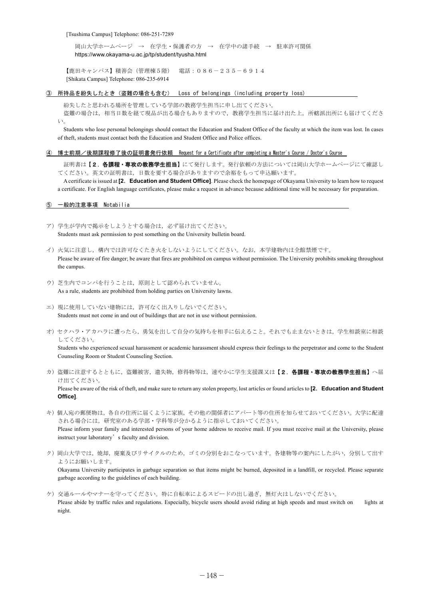[Tsushima Campus] Telephone: 086-251-7289

岡山大学ホームページ → 在学生・保護者の方 → 在学中の諸手続 → 駐車許可関係 https://www.okayama-u.ac.jp/tp/student/tyusha.html

【鹿田キャンパス】積善会(管理棟5階) 電話:086-235-6914 [Shikata Campus] Telephone: 086-235-6914

3 所持品を紛失したとき(盗難の場合も含む) Loss of belongings (including property loss)

。紛失したと思われる場所を管理している学部の教務学生担当に申し出てください

盗難の場合は、相当日数を経て現品が出る場合もありますので、教務学生担当に届け出た上、所轄派出所にも届けてくださ  $V$ 

Students who lose personal belongings should contact the Education and Student Office of the faculty at which the item was lost. In cases of theft, students must contact both the Education and Student Office and Police offices.

④ 博士前期/後期課程修了後の証明書発行依頼 Request for a Certificate after completing a Master's Course / Doctor's Course

証明書は【2.各課程·専攻の教務学生担当】にて発行します。発行依頼の方法については岡山大学ホームページにて確認し てください。英文の証明書は、日数を要する場合がありますので余裕をもって申込願います。

A certificate is issued at [2. Education and Student Office]. Please check the homepage of Okayama University to learn how to request a certificate. For English language certificates, please make a request in advance because additional time will be necessary for preparation.

5 一般的注意事項 Notabilia

.**[Office**

- ア) 学生が学内で掲示をしようとする場合は、必ず届け出てください。 Students must ask permission to post something on the University bulletin board.
- イ)火気に注意し、構内では許可なくたき火をしないようにしてください。なお、本学建物内は全館禁煙です。 Please be aware of fire danger; be aware that fires are prohibited on campus without permission. The University prohibits smoking throughout the campus.
- ウ)芝生内でコンパを行うことは、原則として認められていません。 As a rule, students are prohibited from holding parties on University lawns.
- エ)現に使用していない建物には、許可なく出入りしないでください。 Students must not come in and out of buildings that are not in use without permission.
- オ)セクハラ·アカハラに遭ったら、勇気を出して自分の気持ちを相手に伝えること。それでも止まないときは、学生相談室に相談 。してください

Students who experienced sexual harassment or academic harassment should express their feelings to the perpetrator and come to the Student Counseling Room or Student Counseling Section.

- カ)盗難に注意するとともに,盗難被害,遺失物,修得物等は,速やかに学生支援課又は【2.各課程·専攻の教務学生担当】へ届 。け出てください Please be aware of the risk of theft, and make sure to return any stolen property, lost articles or found articles to [2. Education and Student
- キ)個人宛の郵便物は,各自の住所に届くように家族,その他の関係者にアパート等の住所を知らせておいてください。大学に配達 される場合には、研究室のある学部·学科等が分かるように指示しておいてください。 Please inform your family and interested persons of your home address to receive mail. If you must receive mail at the University, please instruct your laboratory's faculty and division.
- ク)岡山大学では、焼却,廃棄及びリサイクルのため,ゴミの分別をおこなっています。各建物等の案内にしたがい,分別して出す ようにお願いします。 Okayama University participates in garbage separation so that items might be burned, deposited in a landfill, or recycled. Please separate garbage according to the guidelines of each building.
- ケ)交通ルールやマナーを守ってください。特に自転車によるスピードの出し過ぎ、無灯火はしないでください。 Please abide by traffic rules and regulations. Especially, bicycle users should avoid riding at high speeds and must switch on lights at night.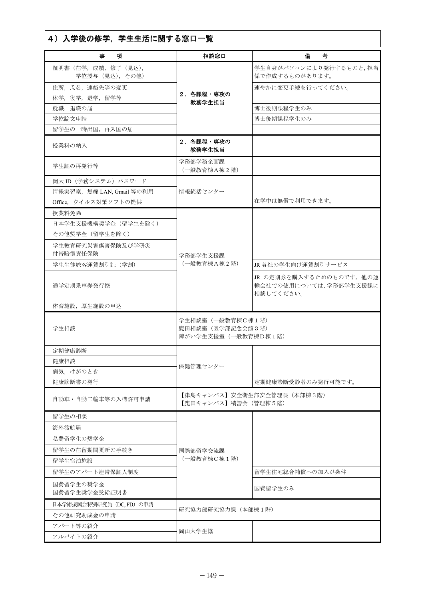| 4) 入学後の修学, 学生生活に関する窓口一覧                  |                                                               |                                                                |  |  |
|------------------------------------------|---------------------------------------------------------------|----------------------------------------------------------------|--|--|
| 事<br>項                                   | 相談窓口                                                          | 備<br>考                                                         |  |  |
| 証明書 (在学, 成績, 修了 (見込),<br>学位授与 (見込), その他) |                                                               | 学生自身がパソコンにより発行するものと,担当<br>係で作成するものがあります。                       |  |  |
| 住所、氏名、連絡先等の変更                            |                                                               | 速やかに変更手続を行ってください。                                              |  |  |
| 休学, 復学, 退学, 留学等                          | 2. 各課程・専攻の                                                    |                                                                |  |  |
| 就職, 退職の届                                 | 教務学生担当                                                        | 博士後期課程学生のみ                                                     |  |  |
| 学位論文申請                                   |                                                               | 博士後期課程学生のみ                                                     |  |  |
| 留学生の一時出国、再入国の届                           |                                                               |                                                                |  |  |
| 授業料の納入                                   | 2. 各課程・専攻の<br>教務学生担当                                          |                                                                |  |  |
| 学生証の再発行等                                 | 学務部学務企画課<br>(一般教育棟A棟2階)                                       |                                                                |  |  |
| 岡大 ID (学務システム) パスワード                     |                                                               |                                                                |  |  |
| 情報実習室, 無線 LAN, Gmail 等の利用                | 情報統括センター                                                      |                                                                |  |  |
| Office, ウイルス対策ソフトの提供                     |                                                               | 在学中は無償で利用できます。                                                 |  |  |
| 授業料免除                                    |                                                               |                                                                |  |  |
| 日本学生支援機構奨学金 (留学生を除く)                     |                                                               |                                                                |  |  |
| その他奨学金(留学生を除く)                           |                                                               |                                                                |  |  |
| 学生教育研究災害傷害保険及び学研災<br>付帯賠償責任保険            | 学務部学生支援課                                                      |                                                                |  |  |
| 学生生徒旅客運賃割引証 (学割)                         | (一般教育棟A棟2階)                                                   | JR 各社の学生向け運賃割引サービス                                             |  |  |
| 通学定期乗車券発行控                               |                                                               | JR の定期券を購入するためのものです。他の運<br>輸会社での使用については、学務部学生支援課に<br>相談してください。 |  |  |
| 体育施設, 厚生施設の申込                            |                                                               |                                                                |  |  |
| 学生相談                                     | 学生相談室(一般教育棟C棟1階)<br>鹿田相談室 (医学部記念会館3階)<br>障がい学生支援室 (一般教育棟D棟1階) |                                                                |  |  |
| 定期健康診断                                   |                                                               |                                                                |  |  |
| 健康相談                                     |                                                               |                                                                |  |  |
| 病気、けがのとき                                 | 保健管理センター                                                      |                                                                |  |  |
| 健康診断書の発行                                 |                                                               | 定期健康診断受診者のみ発行可能です。                                             |  |  |
| 自動車・自動二輪車等の入構許可申請                        | 【鹿田キャンパス】積善会(管理棟5階)                                           | 【津島キャンパス】安全衛生部安全管理課(本部棟3階)                                     |  |  |
| 留学生の相談                                   |                                                               |                                                                |  |  |
| 海外渡航届                                    |                                                               |                                                                |  |  |
| 私費留学生の奨学金                                |                                                               |                                                                |  |  |
| 留学生の在留期間更新の手続き                           | 国際部留学交流課                                                      |                                                                |  |  |
| 留学生宿泊施設                                  | (一般教育棟C棟1階)                                                   |                                                                |  |  |
| 留学生のアパート連帯保証人制度                          |                                                               | 留学生住宅総合補償への加入が条件                                               |  |  |
| 国費留学生の奨学金<br>国費留学生奨学金受給証明書               |                                                               | 国費留学生のみ                                                        |  |  |
| 日本学術振興会特別研究員(DC, PD)の申請                  |                                                               |                                                                |  |  |
| その他研究助成金の申請                              | 研究協力部研究協力課 (本部棟1階)                                            |                                                                |  |  |
| アパート等の紹介                                 |                                                               |                                                                |  |  |
| アルバイトの紹介                                 | 岡山大学生協                                                        |                                                                |  |  |
|                                          |                                                               |                                                                |  |  |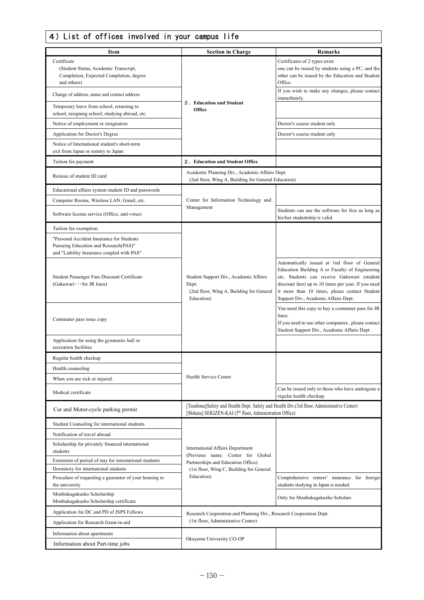# $\sqrt{4}$ ) List of offices involved in your campus life

| Item                                                                                                                             | <b>Section in Charge</b>                                                                                                                                           | <b>Remarks</b>                                                                                                                                                                                                                                                                                |  |  |  |
|----------------------------------------------------------------------------------------------------------------------------------|--------------------------------------------------------------------------------------------------------------------------------------------------------------------|-----------------------------------------------------------------------------------------------------------------------------------------------------------------------------------------------------------------------------------------------------------------------------------------------|--|--|--|
| Certificate<br>(Student Status, Academic Transcript,<br>Completion, Expected Completion, degree<br>and others)                   |                                                                                                                                                                    | Certificates of 2 types exist:<br>one can be issued by students using a PC, and the<br>other can be issued by the Education and Student<br>Office.                                                                                                                                            |  |  |  |
| Change of address, name and contact address                                                                                      |                                                                                                                                                                    | If you wish to make any changes, please contact<br>immediately.                                                                                                                                                                                                                               |  |  |  |
| Temporary leave from school, returning to<br>school, resigning school, studying abroad, etc.                                     | 2. Education and Student<br>Office                                                                                                                                 |                                                                                                                                                                                                                                                                                               |  |  |  |
| Notice of employment or resignation                                                                                              |                                                                                                                                                                    | Doctor's course student only                                                                                                                                                                                                                                                                  |  |  |  |
| Application for Doctor's Degree                                                                                                  |                                                                                                                                                                    | Doctor's course student only                                                                                                                                                                                                                                                                  |  |  |  |
| Notice of International student's short-term<br>exit from Japan or reentry to Japan                                              |                                                                                                                                                                    |                                                                                                                                                                                                                                                                                               |  |  |  |
| Tuition fee payment                                                                                                              | 2. Education and Student Office                                                                                                                                    |                                                                                                                                                                                                                                                                                               |  |  |  |
| Reissue of student ID card                                                                                                       | Academic Planning Div., Academic Affairs Dept.<br>(2nd floor, Wing A, Building for General Education)                                                              |                                                                                                                                                                                                                                                                                               |  |  |  |
| Educational affairs system student ID and passwords                                                                              |                                                                                                                                                                    |                                                                                                                                                                                                                                                                                               |  |  |  |
| Computer Rooms, Wireless LAN, Gmail, etc.                                                                                        | Center for Information Technology and                                                                                                                              |                                                                                                                                                                                                                                                                                               |  |  |  |
| Software license service (Office, anti-virus)                                                                                    | Management                                                                                                                                                         | Students can use the software for free as long as<br>his/her studentship is valid.                                                                                                                                                                                                            |  |  |  |
| Tuition fee exemption                                                                                                            |                                                                                                                                                                    |                                                                                                                                                                                                                                                                                               |  |  |  |
| "Personal Accident Insurance for Students<br>Pursuing Education and Research(PAS)"<br>and "Liability Insurance coupled with PAS" |                                                                                                                                                                    |                                                                                                                                                                                                                                                                                               |  |  |  |
| Student Passenger Fare Discount Certificate<br>(Gakuwari · · · for JR lines)                                                     | Student Support Div., Academic Affairs<br>Dept.<br>(2nd floor, Wing A, Building for General<br>Education)                                                          | Automatically issued at 1nd floor of General<br>Education Building A or Faculty of Engineering<br>etc. Students can receive Gakuwari (student<br>discount fare) up to 10 times per year. If you need<br>it more than 10 times, please contact Student<br>Support Div., Academic Affairs Dept. |  |  |  |
| Commuter pass issue copy                                                                                                         |                                                                                                                                                                    | You need this copy to buy a commuter pass for JR<br>lines.<br>If you need to use other companies, please contact<br>Student Support Div., Academic Affairs Dept.                                                                                                                              |  |  |  |
| Application for using the gymnastic hall or<br>recreation facilities                                                             |                                                                                                                                                                    |                                                                                                                                                                                                                                                                                               |  |  |  |
| Regular health checkup                                                                                                           |                                                                                                                                                                    |                                                                                                                                                                                                                                                                                               |  |  |  |
| Health counseling                                                                                                                |                                                                                                                                                                    |                                                                                                                                                                                                                                                                                               |  |  |  |
| When you are sick or injured.                                                                                                    | Health Service Center                                                                                                                                              |                                                                                                                                                                                                                                                                                               |  |  |  |
| Medical certificate                                                                                                              |                                                                                                                                                                    | Can be issued only to those who have undergone a<br>regular health checkup.                                                                                                                                                                                                                   |  |  |  |
| Car and Motor-cycle parking permit                                                                                               | [Tsushima]Safety and Health Dept. Safety and Health Div.(3rd floor, Administrative Center)<br>[Shikata] SEKIZEN-KAI (5 <sup>th</sup> floor, Administration Office) |                                                                                                                                                                                                                                                                                               |  |  |  |
| Student Counseling for international students                                                                                    |                                                                                                                                                                    |                                                                                                                                                                                                                                                                                               |  |  |  |
| Notification of travel abroad                                                                                                    |                                                                                                                                                                    |                                                                                                                                                                                                                                                                                               |  |  |  |
| Scholarship for privately financed international<br>students                                                                     | <b>International Affairs Department</b><br>(Previous name: Center for Global                                                                                       |                                                                                                                                                                                                                                                                                               |  |  |  |
| Extension of period of stay for international students                                                                           | Partnerships and Education Office)                                                                                                                                 |                                                                                                                                                                                                                                                                                               |  |  |  |
| Dormitory for international students<br>Procedure of requesting a guarantor of your housing to                                   | (1st floor, Wing C, Building for General<br>Education)                                                                                                             | Comprehensive renters' insurance for foreign                                                                                                                                                                                                                                                  |  |  |  |
| the university                                                                                                                   |                                                                                                                                                                    | students studying in Japan is needed.                                                                                                                                                                                                                                                         |  |  |  |
| Monbukagakusho Scholarship<br>Monbukagakusho Scholarship certificate                                                             |                                                                                                                                                                    | Only for Monbukagakusho Scholars                                                                                                                                                                                                                                                              |  |  |  |
| Application for DC and PD of JSPS Fellows                                                                                        | Research Cooperation and Planning Div., Research Cooperation Dept.                                                                                                 |                                                                                                                                                                                                                                                                                               |  |  |  |
| Application for Research Grant-in-aid                                                                                            | (1st floor, Administrative Center)                                                                                                                                 |                                                                                                                                                                                                                                                                                               |  |  |  |
| Information about apartments                                                                                                     | Okayama University CO-OP                                                                                                                                           |                                                                                                                                                                                                                                                                                               |  |  |  |
| Information about Part-time jobs                                                                                                 |                                                                                                                                                                    |                                                                                                                                                                                                                                                                                               |  |  |  |